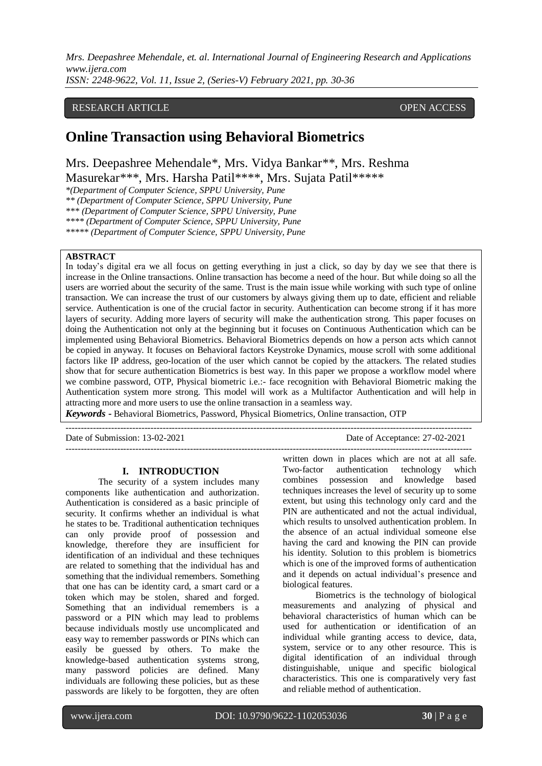### RESEARCH ARTICLE **CONSERVERS** OPEN ACCESS

# **Online Transaction using Behavioral Biometrics**

Mrs. Deepashree Mehendale\*, Mrs. Vidya Bankar\*\*, Mrs. Reshma

Masurekar\*\*\*, Mrs. Harsha Patil\*\*\*\*, Mrs. Sujata Patil\*\*\*\*\*

*\*(Department of Computer Science, SPPU University, Pune*

*\*\* (Department of Computer Science, SPPU University, Pune*

*\*\*\* (Department of Computer Science, SPPU University, Pune*

*\*\*\*\* (Department of Computer Science, SPPU University, Pune*

*\*\*\*\*\* (Department of Computer Science, SPPU University, Pune*

### **ABSTRACT**

In today's digital era we all focus on getting everything in just a click, so day by day we see that there is increase in the Online transactions. Online transaction has become a need of the hour. But while doing so all the users are worried about the security of the same. Trust is the main issue while working with such type of online transaction. We can increase the trust of our customers by always giving them up to date, efficient and reliable service. Authentication is one of the crucial factor in security. Authentication can become strong if it has more layers of security. Adding more layers of security will make the authentication strong. This paper focuses on doing the Authentication not only at the beginning but it focuses on Continuous Authentication which can be implemented using Behavioral Biometrics. Behavioral Biometrics depends on how a person acts which cannot be copied in anyway. It focuses on Behavioral factors Keystroke Dynamics, mouse scroll with some additional factors like IP address, geo-location of the user which cannot be copied by the attackers. The related studies show that for secure authentication Biometrics is best way. In this paper we propose a workflow model where we combine password, OTP, Physical biometric i.e.:- face recognition with Behavioral Biometric making the Authentication system more strong. This model will work as a Multifactor Authentication and will help in attracting more and more users to use the online transaction in a seamless way.

--------------------------------------------------------------------------------------------------------------------------------------

*Keywords* **-** Behavioral Biometrics, Password, Physical Biometrics, Online transaction, OTP

Date of Submission: 13-02-2021 Date of Acceptance: 27-02-2021  $-1-\frac{1}{2}$ 

#### **I. INTRODUCTION**

The security of a system includes many components like authentication and authorization. Authentication is considered as a basic principle of security. It confirms whether an individual is what he states to be. Traditional authentication techniques can only provide proof of possession and knowledge, therefore they are insufficient for identification of an individual and these techniques are related to something that the individual has and something that the individual remembers. Something that one has can be identity card, a smart card or a token which may be stolen, shared and forged. Something that an individual remembers is a password or a PIN which may lead to problems because individuals mostly use uncomplicated and easy way to remember passwords or PINs which can easily be guessed by others. To make the knowledge-based authentication systems strong, many password policies are defined. Many individuals are following these policies, but as these passwords are likely to be forgotten, they are often

written down in places which are not at all safe. Two-factor authentication technology which combines possession and knowledge based techniques increases the level of security up to some extent, but using this technology only card and the PIN are authenticated and not the actual individual, which results to unsolved authentication problem. In the absence of an actual individual someone else having the card and knowing the PIN can provide his identity. Solution to this problem is biometrics which is one of the improved forms of authentication and it depends on actual individual's presence and biological features.

Biometrics is the technology of biological measurements and analyzing of physical and behavioral characteristics of human which can be used for authentication or identification of an individual while granting access to device, data, system, service or to any other resource. This is digital identification of an individual through distinguishable, unique and specific biological characteristics. This one is comparatively very fast and reliable method of authentication.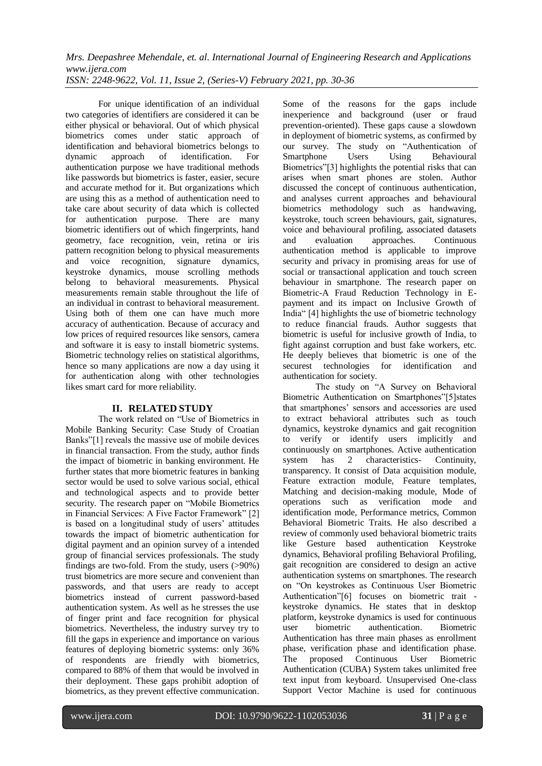For unique identification of an individual two categories of identifiers are considered it can be either physical or behavioral. Out of which physical biometrics comes under static approach of identification and behavioral biometrics belongs to dynamic approach of identification. For authentication purpose we have traditional methods like passwords but biometrics is faster, easier, secure and accurate method for it. But organizations which are using this as a method of authentication need to take care about security of data which is collected for authentication purpose. There are many biometric identifiers out of which fingerprints, hand geometry, face recognition, vein, retina or iris pattern recognition belong to physical measurements and voice recognition, signature dynamics, keystroke dynamics, mouse scrolling methods belong to behavioral measurements. Physical measurements remain stable throughout the life of an individual in contrast to behavioral measurement. Using both of them one can have much more accuracy of authentication. Because of accuracy and low prices of required resources like sensors, camera and software it is easy to install biometric systems. Biometric technology relies on statistical algorithms, hence so many applications are now a day using it for authentication along with other technologies likes smart card for more reliability.

#### **II. RELATED STUDY**

The work related on "Use of Biometrics in Mobile Banking Security: Case Study of Croatian Banks"[1] reveals the massive use of mobile devices in financial transaction. From the study, author finds the impact of biometric in banking environment. He further states that more biometric features in banking sector would be used to solve various social, ethical and technological aspects and to provide better security. The research paper on "Mobile Biometrics" in Financial Services: A Five Factor Framework" [2] is based on a longitudinal study of users' attitudes towards the impact of biometric authentication for digital payment and an opinion survey of a intended group of financial services professionals. The study findings are two-fold. From the study, users (>90%) trust biometrics are more secure and convenient than passwords, and that users are ready to accept biometrics instead of current password-based authentication system. As well as he stresses the use of finger print and face recognition for physical biometrics. Nevertheless, the industry survey try to fill the gaps in experience and importance on various features of deploying biometric systems: only 36% of respondents are friendly with biometrics, compared to 88% of them that would be involved in their deployment. These gaps prohibit adoption of biometrics, as they prevent effective communication.

Some of the reasons for the gaps include inexperience and background (user or fraud prevention-oriented). These gaps cause a slowdown in deployment of biometric systems, as confirmed by our survey. The study on "Authentication of Smartphone Users Using Behavioural Biometrics"[3] highlights the potential risks that can arises when smart phones are stolen. Author discussed the concept of continuous authentication, and analyses current approaches and behavioural biometrics methodology such as handwaving, keystroke, touch screen behaviours, gait, signatures, voice and behavioural profiling, associated datasets and evaluation approaches. Continuous authentication method is applicable to improve security and privacy in promising areas for use of social or transactional application and touch screen behaviour in smartphone. The research paper on Biometric-A Fraud Reduction Technology in Epayment and its impact on Inclusive Growth of India" [4] highlights the use of biometric technology to reduce financial frauds. Author suggests that biometric is useful for inclusive growth of India, to fight against corruption and bust fake workers, etc. He deeply believes that biometric is one of the securest technologies for identification and authentication for society.

The study on "A Survey on Behavioral Biometric Authentication on Smartphones"[5]states that smartphones' sensors and accessories are used to extract behavioral attributes such as touch dynamics, keystroke dynamics and gait recognition to verify or identify users implicitly and continuously on smartphones. Active authentication system has 2 characteristics- Continuity, transparency. It consist of Data acquisition module, Feature extraction module, Feature templates, Matching and decision-making module, Mode of operations such as verification mode and identification mode, Performance metrics, Common Behavioral Biometric Traits. He also described a review of commonly used behavioral biometric traits like Gesture based authentication Keystroke dynamics, Behavioral profiling Behavioral Profiling, gait recognition are considered to design an active authentication systems on smartphones. The research on "On keystrokes as Continuous User Biometric Authentication"[6] focuses on biometric trait keystroke dynamics. He states that in desktop platform, keystroke dynamics is used for continuous user biometric authentication. Biometric Authentication has three main phases as enrollment phase, verification phase and identification phase. The proposed Continuous User Biometric Authentication (CUBA) System takes unlimited free text input from keyboard. Unsupervised One-class Support Vector Machine is used for continuous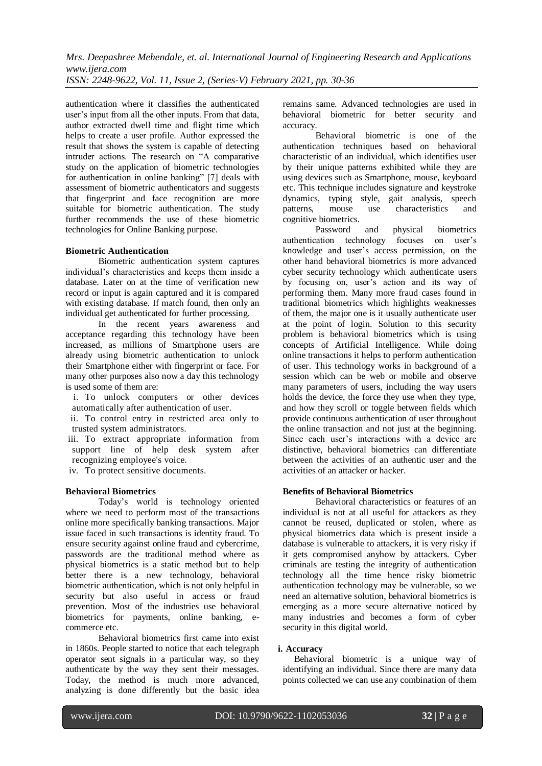*Mrs. Deepashree Mehendale, et. al. International Journal of Engineering Research and Applications www.ijera.com*

*ISSN: 2248-9622, Vol. 11, Issue 2, (Series-V) February 2021, pp. 30-36*

authentication where it classifies the authenticated user's input from all the other inputs. From that data, author extracted dwell time and flight time which helps to create a user profile. Author expressed the result that shows the system is capable of detecting intruder actions. The research on "A comparative study on the application of biometric technologies for authentication in online banking" [7] deals with assessment of biometric authenticators and suggests that fingerprint and face recognition are more suitable for biometric authentication. The study further recommends the use of these biometric technologies for Online Banking purpose.

#### **Biometric Authentication**

Biometric authentication system captures individual's characteristics and keeps them inside a database. Later on at the time of verification new record or input is again captured and it is compared with existing database. If match found, then only an individual get authenticated for further processing.

In the recent years awareness and acceptance regarding this technology have been increased, as millions of Smartphone users are already using biometric authentication to unlock their Smartphone either with fingerprint or face. For many other purposes also now a day this technology is used some of them are:

i. To unlock computers or other devices automatically after authentication of user.

ii. To control entry in restricted area only to trusted system administrators.

iii. To extract appropriate information from support line of help desk system after recognizing employee's voice.

iv. To protect sensitive documents.

### **Behavioral Biometrics**

Today's world is technology oriented where we need to perform most of the transactions online more specifically banking transactions. Major issue faced in such transactions is identity fraud. To ensure security against online fraud and cybercrime, passwords are the traditional method where as physical biometrics is a static method but to help better there is a new technology, behavioral biometric authentication, which is not only helpful in security but also useful in access or fraud prevention. Most of the industries use behavioral biometrics for payments, online banking, ecommerce etc.

Behavioral biometrics first came into exist in 1860s. People started to notice that each telegraph operator sent signals in a particular way, so they authenticate by the way they sent their messages. Today, the method is much more advanced, analyzing is done differently but the basic idea

remains same. Advanced technologies are used in behavioral biometric for better security and accuracy.

Behavioral biometric is one of the authentication techniques based on behavioral characteristic of an individual, which identifies user by their unique patterns exhibited while they are using devices such as Smartphone, mouse, keyboard etc. This technique includes signature and keystroke dynamics, typing style, gait analysis, speech patterns, mouse use characteristics and cognitive biometrics.

Password and physical biometrics authentication technology focuses on user's knowledge and user's access permission, on the other hand behavioral biometrics is more advanced cyber security technology which authenticate users by focusing on, user's action and its way of performing them. Many more fraud cases found in traditional biometrics which highlights weaknesses of them, the major one is it usually authenticate user at the point of login. Solution to this security problem is behavioral biometrics which is using concepts of Artificial Intelligence. While doing online transactions it helps to perform authentication of user. This technology works in background of a session which can be web or mobile and observe many parameters of users, including the way users holds the device, the force they use when they type, and how they scroll or toggle between fields which provide continuous authentication of user throughout the online transaction and not just at the beginning. Since each user's interactions with a device are distinctive, behavioral biometrics can differentiate between the activities of an authentic user and the activities of an attacker or hacker.

#### **Benefits of Behavioral Biometrics**

Behavioral characteristics or features of an individual is not at all useful for attackers as they cannot be reused, duplicated or stolen, where as physical biometrics data which is present inside a database is vulnerable to attackers, it is very risky if it gets compromised anyhow by attackers. Cyber criminals are testing the integrity of authentication technology all the time hence risky biometric authentication technology may be vulnerable, so we need an alternative solution, behavioral biometrics is emerging as a more secure alternative noticed by many industries and becomes a form of cyber security in this digital world.

#### **i. Accuracy**

Behavioral biometric is a unique way of identifying an individual. Since there are many data points collected we can use any combination of them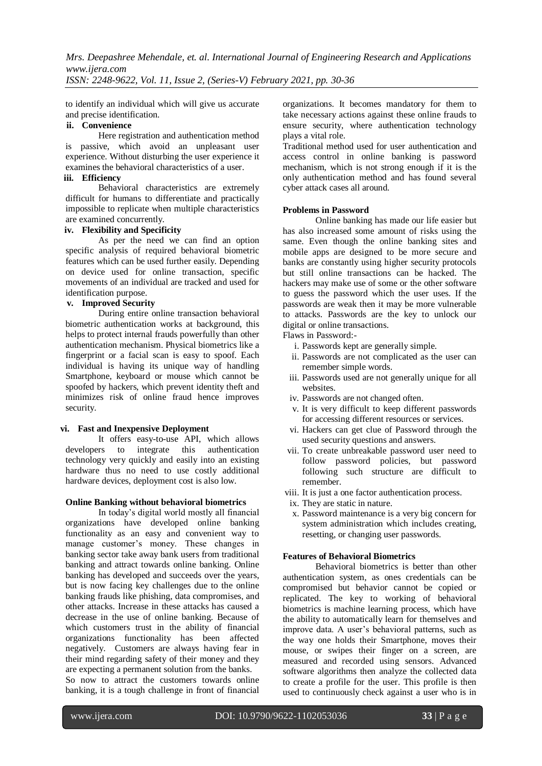*Mrs. Deepashree Mehendale, et. al. International Journal of Engineering Research and Applications www.ijera.com*

*ISSN: 2248-9622, Vol. 11, Issue 2, (Series-V) February 2021, pp. 30-36*

to identify an individual which will give us accurate and precise identification.

### **ii. Convenience**

Here registration and authentication method is passive, which avoid an unpleasant user experience. Without disturbing the user experience it examines the behavioral characteristics of a user.

## **iii. Efficiency**

Behavioral characteristics are extremely difficult for humans to differentiate and practically impossible to replicate when multiple characteristics are examined concurrently.

### **iv. Flexibility and Specificity**

As per the need we can find an option specific analysis of required behavioral biometric features which can be used further easily. Depending on device used for online transaction, specific movements of an individual are tracked and used for identification purpose.

### **v. Improved Security**

During entire online transaction behavioral biometric authentication works at background, this helps to protect internal frauds powerfully than other authentication mechanism. Physical biometrics like a fingerprint or a facial scan is easy to spoof. Each individual is having its unique way of handling Smartphone, keyboard or mouse which cannot be spoofed by hackers, which prevent identity theft and minimizes risk of online fraud hence improves security.

#### **vi. Fast and Inexpensive Deployment**

It offers easy-to-use API, which allows developers to integrate this authentication technology very quickly and easily into an existing hardware thus no need to use costly additional hardware devices, deployment cost is also low.

#### **Online Banking without behavioral biometrics**

In today's digital world mostly all financial organizations have developed online banking functionality as an easy and convenient way to manage customer's money. These changes in banking sector take away bank users from traditional banking and attract towards online banking. Online banking has developed and succeeds over the years, but is now facing key challenges due to the online banking frauds like phishing, data compromises, and other attacks. Increase in these attacks has caused a decrease in the use of online banking. Because of which customers trust in the ability of financial organizations functionality has been affected negatively. Customers are always having fear in their mind regarding safety of their money and they are expecting a permanent solution from the banks. So now to attract the customers towards online banking, it is a tough challenge in front of financial

organizations. It becomes mandatory for them to take necessary actions against these online frauds to ensure security, where authentication technology plays a vital role.

Traditional method used for user authentication and access control in online banking is password mechanism, which is not strong enough if it is the only authentication method and has found several cyber attack cases all around.

### **Problems in Password**

Online banking has made our life easier but has also increased some amount of risks using the same. Even though the online banking sites and mobile apps are designed to be more secure and banks are constantly using higher security protocols but still online transactions can be hacked. The hackers may make use of some or the other software to guess the password which the user uses. If the passwords are weak then it may be more vulnerable to attacks. Passwords are the key to unlock our digital or online transactions.

Flaws in Password:-

- i. Passwords kept are generally simple.
- ii. Passwords are not complicated as the user can remember simple words.
- iii. Passwords used are not generally unique for all websites.
- iv. Passwords are not changed often.
- v. It is very difficult to keep different passwords for accessing different resources or services.
- vi. Hackers can get clue of Password through the used security questions and answers.
- vii. To create unbreakable password user need to follow password policies, but password following such structure are difficult to remember.
- viii. It is just a one factor authentication process.
- ix. They are static in nature.
- x. Password maintenance is a very big concern for system administration which includes creating, resetting, or changing user passwords.

#### **Features of Behavioral Biometrics**

Behavioral biometrics is better than other authentication system, as ones credentials can be compromised but behavior cannot be copied or replicated. The key to working of behavioral biometrics is machine learning process, which have the ability to automatically learn for themselves and improve data. A user's behavioral patterns, such as the way one holds their Smartphone, moves their mouse, or swipes their finger on a screen, are measured and recorded using sensors. Advanced software algorithms then analyze the collected data to create a profile for the user. This profile is then used to continuously check against a user who is in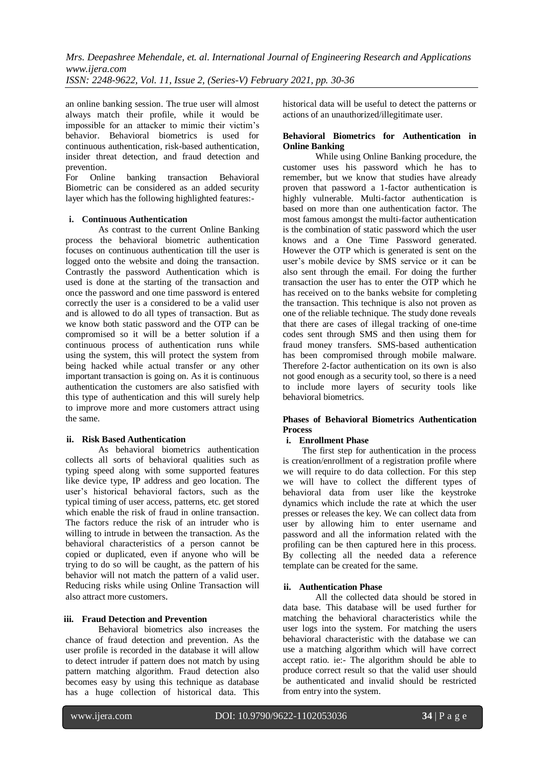*Mrs. Deepashree Mehendale, et. al. International Journal of Engineering Research and Applications www.ijera.com*

*ISSN: 2248-9622, Vol. 11, Issue 2, (Series-V) February 2021, pp. 30-36*

an online banking session. The true user will almost always match their profile, while it would be impossible for an attacker to mimic their victim's behavior. Behavioral biometrics is used for continuous authentication, risk-based authentication, insider threat detection, and fraud detection and prevention.

For Online banking transaction Behavioral Biometric can be considered as an added security layer which has the following highlighted features:-

### **i. Continuous Authentication**

As contrast to the current Online Banking process the behavioral biometric authentication focuses on continuous authentication till the user is logged onto the website and doing the transaction. Contrastly the password Authentication which is used is done at the starting of the transaction and once the password and one time password is entered correctly the user is a considered to be a valid user and is allowed to do all types of transaction. But as we know both static password and the OTP can be compromised so it will be a better solution if a continuous process of authentication runs while using the system, this will protect the system from being hacked while actual transfer or any other important transaction is going on. As it is continuous authentication the customers are also satisfied with this type of authentication and this will surely help to improve more and more customers attract using the same.

### **ii. Risk Based Authentication**

As behavioral biometrics authentication collects all sorts of behavioral qualities such as typing speed along with some supported features like device type, IP address and geo location. The user's historical behavioral factors, such as the typical timing of user access, patterns, etc. get stored which enable the risk of fraud in online transaction. The factors reduce the risk of an intruder who is willing to intrude in between the transaction. As the behavioral characteristics of a person cannot be copied or duplicated, even if anyone who will be trying to do so will be caught, as the pattern of his behavior will not match the pattern of a valid user. Reducing risks while using Online Transaction will also attract more customers.

### **iii. Fraud Detection and Prevention**

Behavioral biometrics also increases the chance of fraud detection and prevention. As the user profile is recorded in the database it will allow to detect intruder if pattern does not match by using pattern matching algorithm. Fraud detection also becomes easy by using this technique as database has a huge collection of historical data. This

historical data will be useful to detect the patterns or actions of an unauthorized/illegitimate user.

### **Behavioral Biometrics for Authentication in Online Banking**

While using Online Banking procedure, the customer uses his password which he has to remember, but we know that studies have already proven that password a 1-factor authentication is highly vulnerable. Multi-factor authentication is based on more than one authentication factor. The most famous amongst the multi-factor authentication is the combination of static password which the user knows and a One Time Password generated. However the OTP which is generated is sent on the user's mobile device by SMS service or it can be also sent through the email. For doing the further transaction the user has to enter the OTP which he has received on to the banks website for completing the transaction. This technique is also not proven as one of the reliable technique. The study done reveals that there are cases of illegal tracking of one-time codes sent through SMS and then using them for fraud money transfers. SMS-based authentication has been compromised through mobile malware. Therefore 2-factor authentication on its own is also not good enough as a security tool, so there is a need to include more layers of security tools like behavioral biometrics.

### **Phases of Behavioral Biometrics Authentication Process**

#### **i. Enrollment Phase**

The first step for authentication in the process is creation/enrollment of a registration profile where we will require to do data collection. For this step we will have to collect the different types of behavioral data from user like the keystroke dynamics which include the rate at which the user presses or releases the key. We can collect data from user by allowing him to enter username and password and all the information related with the profiling can be then captured here in this process. By collecting all the needed data a reference template can be created for the same.

### **ii. Authentication Phase**

All the collected data should be stored in data base. This database will be used further for matching the behavioral characteristics while the user logs into the system. For matching the users behavioral characteristic with the database we can use a matching algorithm which will have correct accept ratio. ie:- The algorithm should be able to produce correct result so that the valid user should be authenticated and invalid should be restricted from entry into the system.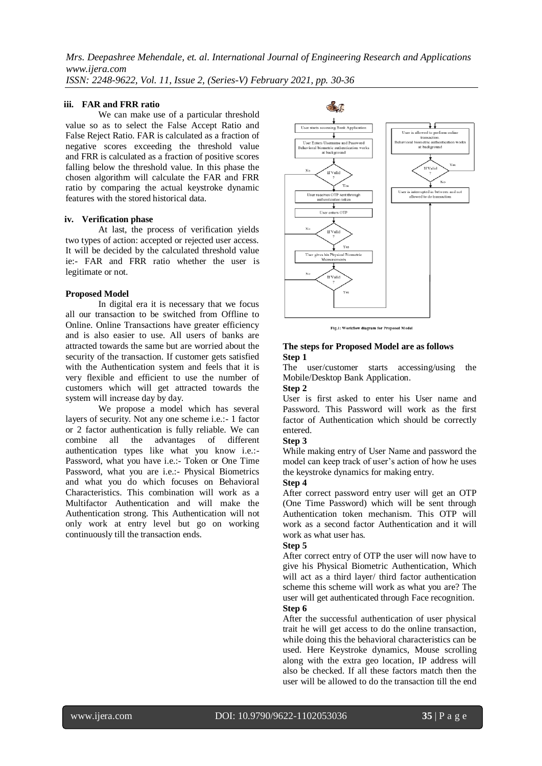**iii. FAR and FRR ratio** 

We can make use of a particular threshold value so as to select the False Accept Ratio and False Reject Ratio. FAR is calculated as a fraction of negative scores exceeding the threshold value and FRR is calculated as a fraction of positive scores falling below the threshold value. In this phase the chosen algorithm will calculate the FAR and FRR ratio by comparing the actual keystroke dynamic features with the stored historical data.

#### **iv. Verification phase**

At last, the process of verification yields two types of action: accepted or rejected user access. It will be decided by the calculated threshold value ie:- FAR and FRR ratio whether the user is legitimate or not.

#### **Proposed Model**

In digital era it is necessary that we focus all our transaction to be switched from Offline to Online. Online Transactions have greater efficiency and is also easier to use. All users of banks are attracted towards the same but are worried about the security of the transaction. If customer gets satisfied with the Authentication system and feels that it is very flexible and efficient to use the number of customers which will get attracted towards the system will increase day by day.

We propose a model which has several layers of security. Not any one scheme i.e.:- 1 factor or 2 factor authentication is fully reliable. We can combine all the advantages of different authentication types like what you know i.e.:- Password, what you have i.e.:- Token or One Time Password, what you are i.e.:- Physical Biometrics and what you do which focuses on Behavioral Characteristics. This combination will work as a Multifactor Authentication and will make the Authentication strong. This Authentication will not only work at entry level but go on working continuously till the transaction ends.



Fig.1: Workflow diagram for Proposed Mode

#### **The steps for Proposed Model are as follows Step 1**

The user/customer starts accessing/using the Mobile/Desktop Bank Application.

### **Step 2**

User is first asked to enter his User name and Password. This Password will work as the first factor of Authentication which should be correctly entered.

#### **Step 3**

While making entry of User Name and password the model can keep track of user's action of how he uses the keystroke dynamics for making entry.

#### **Step 4**

After correct password entry user will get an OTP (One Time Password) which will be sent through Authentication token mechanism. This OTP will work as a second factor Authentication and it will work as what user has.

#### **Step 5**

After correct entry of OTP the user will now have to give his Physical Biometric Authentication, Which will act as a third layer/ third factor authentication scheme this scheme will work as what you are? The user will get authenticated through Face recognition. **Step 6**

After the successful authentication of user physical trait he will get access to do the online transaction, while doing this the behavioral characteristics can be used. Here Keystroke dynamics, Mouse scrolling along with the extra geo location, IP address will also be checked. If all these factors match then the user will be allowed to do the transaction till the end